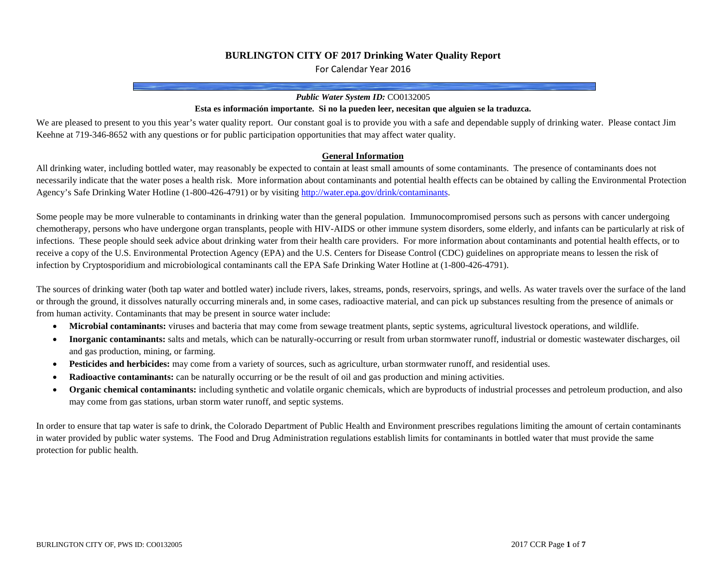### **BURLINGTON CITY OF 2017 Drinking Water Quality Report**

For Calendar Year 2016

#### *Public Water System ID:* CO0132005

#### **Esta es información importante. Si no la pueden leer, necesitan que alguien se la traduzca.**

We are pleased to present to you this year's water quality report. Our constant goal is to provide you with a safe and dependable supply of drinking water. Please contact Jim Keehne at 719-346-8652 with any questions or for public participation opportunities that may affect water quality.

#### **General Information**

All drinking water, including bottled water, may reasonably be expected to contain at least small amounts of some contaminants. The presence of contaminants does not necessarily indicate that the water poses a health risk. More information about contaminants and potential health effects can be obtained by calling the Environmental Protection Agency's Safe Drinking Water Hotline (1-800-426-4791) or by visitin[g http://water.epa.gov/drink/contaminants.](http://water.epa.gov/drink/contaminants)

Some people may be more vulnerable to contaminants in drinking water than the general population. Immunocompromised persons such as persons with cancer undergoing chemotherapy, persons who have undergone organ transplants, people with HIV-AIDS or other immune system disorders, some elderly, and infants can be particularly at risk of infections. These people should seek advice about drinking water from their health care providers. For more information about contaminants and potential health effects, or to receive a copy of the U.S. Environmental Protection Agency (EPA) and the U.S. Centers for Disease Control (CDC) guidelines on appropriate means to lessen the risk of infection by Cryptosporidium and microbiological contaminants call the EPA Safe Drinking Water Hotline at (1-800-426-4791).

The sources of drinking water (both tap water and bottled water) include rivers, lakes, streams, ponds, reservoirs, springs, and wells. As water travels over the surface of the land or through the ground, it dissolves naturally occurring minerals and, in some cases, radioactive material, and can pick up substances resulting from the presence of animals or from human activity. Contaminants that may be present in source water include:

- **Microbial contaminants:** viruses and bacteria that may come from sewage treatment plants, septic systems, agricultural livestock operations, and wildlife.
- **Inorganic contaminants:** salts and metals, which can be naturally-occurring or result from urban stormwater runoff, industrial or domestic wastewater discharges, oil and gas production, mining, or farming.
- **Pesticides and herbicides:** may come from a variety of sources, such as agriculture, urban stormwater runoff, and residential uses.
- **Radioactive contaminants:** can be naturally occurring or be the result of oil and gas production and mining activities.
- **Organic chemical contaminants:** including synthetic and volatile organic chemicals, which are byproducts of industrial processes and petroleum production, and also may come from gas stations, urban storm water runoff, and septic systems.

In order to ensure that tap water is safe to drink, the Colorado Department of Public Health and Environment prescribes regulations limiting the amount of certain contaminants in water provided by public water systems. The Food and Drug Administration regulations establish limits for contaminants in bottled water that must provide the same protection for public health.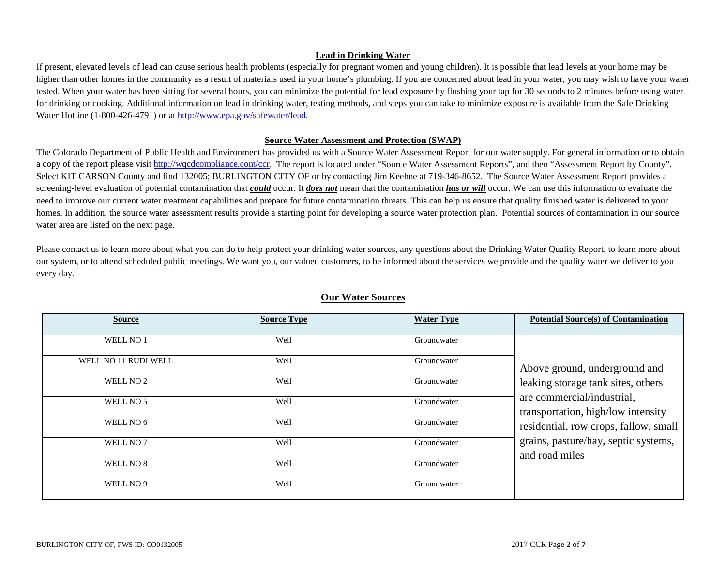### **Lead in Drinking Water**

If present, elevated levels of lead can cause serious health problems (especially for pregnant women and young children). It is possible that lead levels at your home may be higher than other homes in the community as a result of materials used in your home's plumbing. If you are concerned about lead in your water, you may wish to have your water tested. When your water has been sitting for several hours, you can minimize the potential for lead exposure by flushing your tap for 30 seconds to 2 minutes before using water for drinking or cooking. Additional information on lead in drinking water, testing methods, and steps you can take to minimize exposure is available from the Safe Drinking Water Hotline (1-800-426-4791) or a[t http://www.epa.gov/safewater/lead.](http://www.epa.gov/safewater/lead)

#### **Source Water Assessment and Protection (SWAP)**

The Colorado Department of Public Health and Environment has provided us with a Source Water Assessment Report for our water supply. For general information or to obtain a copy of the report please visi[t http://wqcdcompliance.com/ccr.](http://wqcdcompliance.com/ccr) The report is located under "Source Water Assessment Reports", and then "Assessment Report by County". Select KIT CARSON County and find 132005; BURLINGTON CITY OF or by contacting Jim Keehne at 719-346-8652. The Source Water Assessment Report provides a screening-level evaluation of potential contamination that *could* occur. It *does not* mean that the contamination *has or will* occur. We can use this information to evaluate the need to improve our current water treatment capabilities and prepare for future contamination threats. This can help us ensure that quality finished water is delivered to your homes. In addition, the source water assessment results provide a starting point for developing a source water protection plan. Potential sources of contamination in our source water area are listed on the next page.

Please contact us to learn more about what you can do to help protect your drinking water sources, any questions about the Drinking Water Quality Report, to learn more about our system, or to attend scheduled public meetings. We want you, our valued customers, to be informed about the services we provide and the quality water we deliver to you every day.

| <b>Source</b>        | <b>Source Type</b> | <b>Water Type</b> | <b>Potential Source(s) of Contamination</b>                      |
|----------------------|--------------------|-------------------|------------------------------------------------------------------|
| WELL NO <sub>1</sub> | Well               | Groundwater       |                                                                  |
| WELL NO 11 RUDI WELL | Well               | Groundwater       | Above ground, underground and                                    |
| WELL NO <sub>2</sub> | Well               | Groundwater       | leaking storage tank sites, others                               |
| WELL NO 5            | Well               | Groundwater       | are commercial/industrial,<br>transportation, high/low intensity |
| WELL NO 6            | Well               | Groundwater       | residential, row crops, fallow, small                            |
| WELL NO 7            | Well               | Groundwater       | grains, pasture/hay, septic systems,<br>and road miles           |
| WELL NO 8            | Well               | Groundwater       |                                                                  |
| WELL NO 9            | Well               | Groundwater       |                                                                  |

## **Our Water Sources**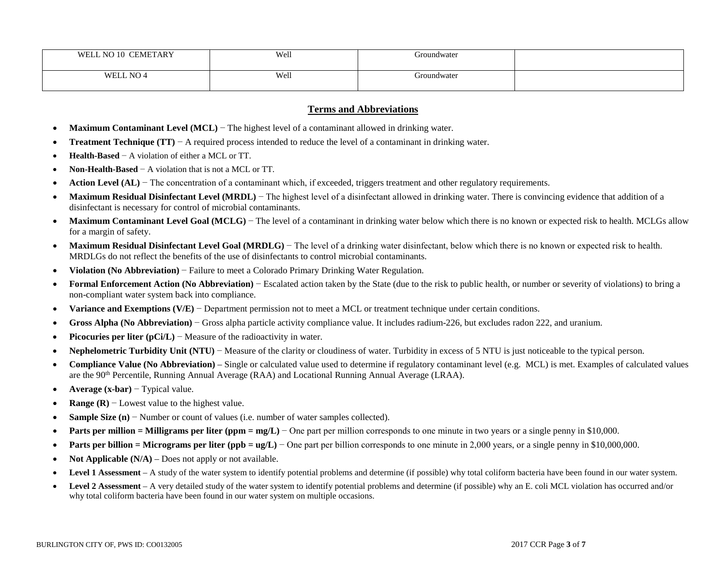| <b>CEMETARY</b><br>N <sub>O</sub><br>WEI<br>-10 | Well | Groundwater<br>.      |  |
|-------------------------------------------------|------|-----------------------|--|
| NO <sub>4</sub><br>WELL                         | Well | . <i>i</i> roundwater |  |

### **Terms and Abbreviations**

- **Maximum Contaminant Level (MCL)** − The highest level of a contaminant allowed in drinking water.
- **Treatment Technique (TT)** − A required process intended to reduce the level of a contaminant in drinking water.
- **Health-Based** − A violation of either a MCL or TT.
- **Non-Health-Based** − A violation that is not a MCL or TT.
- **Action Level (AL)** − The concentration of a contaminant which, if exceeded, triggers treatment and other regulatory requirements.
- **Maximum Residual Disinfectant Level (MRDL)** The highest level of a disinfectant allowed in drinking water. There is convincing evidence that addition of a disinfectant is necessary for control of microbial contaminants.
- **Maximum Contaminant Level Goal (MCLG)** The level of a contaminant in drinking water below which there is no known or expected risk to health. MCLGs allow for a margin of safety.
- **Maximum Residual Disinfectant Level Goal (MRDLG**) The level of a drinking water disinfectant, below which there is no known or expected risk to health. MRDLGs do not reflect the benefits of the use of disinfectants to control microbial contaminants.
- **Violation (No Abbreviation)** − Failure to meet a Colorado Primary Drinking Water Regulation.
- **Formal Enforcement Action (No Abbreviation)** − Escalated action taken by the State (due to the risk to public health, or number or severity of violations) to bring a non-compliant water system back into compliance.
- **Variance and Exemptions (V/E)** − Department permission not to meet a MCL or treatment technique under certain conditions.
- **Gross Alpha (No Abbreviation)** − Gross alpha particle activity compliance value. It includes radium-226, but excludes radon 222, and uranium.
- **Picocuries per liter (pCi/L)** − Measure of the radioactivity in water.
- **Nephelometric Turbidity Unit (NTU)** − Measure of the clarity or cloudiness of water. Turbidity in excess of 5 NTU is just noticeable to the typical person.
- **Compliance Value (No Abbreviation)** Single or calculated value used to determine if regulatory contaminant level (e.g. MCL) is met. Examples of calculated values are the 90<sup>th</sup> Percentile, Running Annual Average (RAA) and Locational Running Annual Average (LRAA).
- **Average (x-bar)** − Typical value.
- **Range (R)** − Lowest value to the highest value.
- **Sample Size (n)** − Number or count of values (i.e. number of water samples collected).
- **Parts per million = Milligrams per liter (ppm = mg/L)** − One part per million corresponds to one minute in two years or a single penny in \$10,000.
- **Parts per billion = Micrograms per liter (ppb = ug/L)** One part per billion corresponds to one minute in 2,000 years, or a single penny in \$10,000,000.
- **Not Applicable (N/A)** Does not apply or not available.
- Level 1 Assessment A study of the water system to identify potential problems and determine (if possible) why total coliform bacteria have been found in our water system.
- Level 2 Assessment A very detailed study of the water system to identify potential problems and determine (if possible) why an E. coli MCL violation has occurred and/or why total coliform bacteria have been found in our water system on multiple occasions.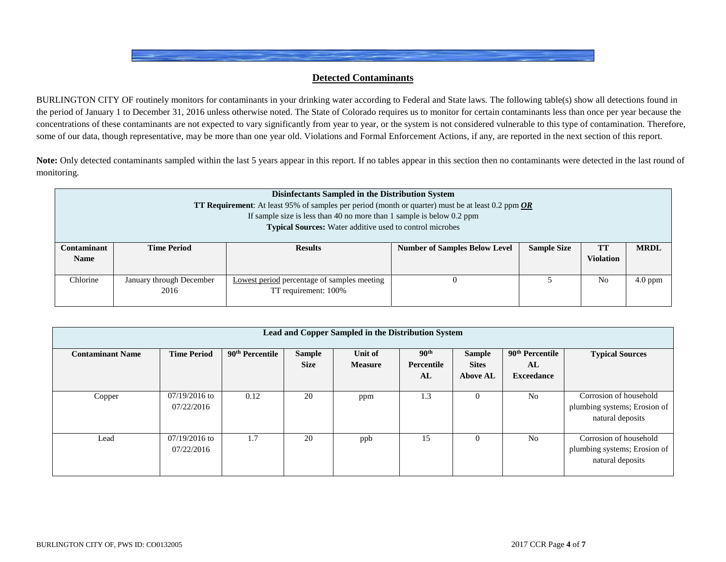## **Detected Contaminants**

BURLINGTON CITY OF routinely monitors for contaminants in your drinking water according to Federal and State laws. The following table(s) show all detections found in the period of January 1 to December 31, 2016 unless otherwise noted. The State of Colorado requires us to monitor for certain contaminants less than once per year because the concentrations of these contaminants are not expected to vary significantly from year to year, or the system is not considered vulnerable to this type of contamination. Therefore, some of our data, though representative, may be more than one year old. Violations and Formal Enforcement Actions, if any, are reported in the next section of this report.

Note: Only detected contaminants sampled within the last 5 years appear in this report. If no tables appear in this section then no contaminants were detected in the last round of monitoring.

|                    | <b>Disinfectants Sampled in the Distribution System</b><br><b>TT Requirement:</b> At least 95% of samples per period (month or quarter) must be at least 0.2 ppm $OR$ |                                                                                 |                                      |                    |                  |             |  |  |  |  |
|--------------------|-----------------------------------------------------------------------------------------------------------------------------------------------------------------------|---------------------------------------------------------------------------------|--------------------------------------|--------------------|------------------|-------------|--|--|--|--|
|                    |                                                                                                                                                                       | If sample size is less than 40 no more than 1 sample is below $0.2$ ppm         |                                      |                    |                  |             |  |  |  |  |
|                    |                                                                                                                                                                       | <b>Typical Sources:</b> Water additive used to control microbes                 |                                      |                    |                  |             |  |  |  |  |
| <b>Contaminant</b> | <b>Time Period</b>                                                                                                                                                    | <b>Results</b>                                                                  | <b>Number of Samples Below Level</b> | <b>Sample Size</b> | <b>TT</b>        | <b>MRDL</b> |  |  |  |  |
| <b>Name</b>        |                                                                                                                                                                       |                                                                                 |                                      |                    | <b>Violation</b> |             |  |  |  |  |
| Chlorine           | January through December                                                                                                                                              | N <sub>0</sub><br>$4.0$ ppm<br>Lowest period percentage of samples meeting<br>O |                                      |                    |                  |             |  |  |  |  |
|                    | 2016                                                                                                                                                                  | TT requirement: 100%                                                            |                                      |                    |                  |             |  |  |  |  |

| Lead and Copper Sampled in the Distribution System |                               |                             |                              |                           |                                      |                                                  |                                                        |                                                                            |  |
|----------------------------------------------------|-------------------------------|-----------------------------|------------------------------|---------------------------|--------------------------------------|--------------------------------------------------|--------------------------------------------------------|----------------------------------------------------------------------------|--|
| <b>Contaminant Name</b>                            | <b>Time Period</b>            | 90 <sup>th</sup> Percentile | <b>Sample</b><br><b>Size</b> | Unit of<br><b>Measure</b> | 90 <sup>th</sup><br>Percentile<br>AL | <b>Sample</b><br><b>Sites</b><br><b>Above AL</b> | 90 <sup>th</sup> Percentile<br>AL<br><b>Exceedance</b> | <b>Typical Sources</b>                                                     |  |
| Copper                                             | $07/19/2016$ to<br>07/22/2016 | 0.12                        | 20                           | ppm                       | 1.3                                  | $\theta$                                         | N <sub>0</sub>                                         | Corrosion of household<br>plumbing systems; Erosion of<br>natural deposits |  |
| Lead                                               | $07/19/2016$ to<br>07/22/2016 | 1.7                         | 20                           | ppb                       | 15                                   | $\Omega$                                         | N <sub>0</sub>                                         | Corrosion of household<br>plumbing systems; Erosion of<br>natural deposits |  |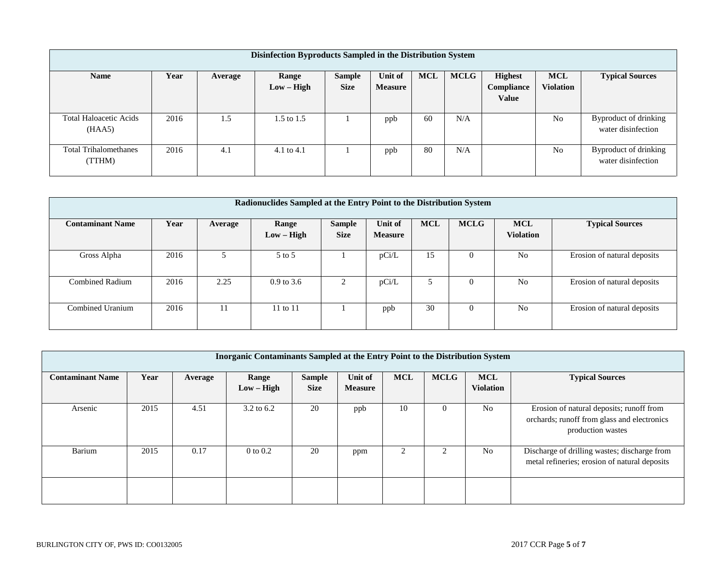| Disinfection Byproducts Sampled in the Distribution System |      |         |                       |                              |                           |            |             |                                              |                                |                                             |
|------------------------------------------------------------|------|---------|-----------------------|------------------------------|---------------------------|------------|-------------|----------------------------------------------|--------------------------------|---------------------------------------------|
| <b>Name</b>                                                | Year | Average | Range<br>$Low - High$ | <b>Sample</b><br><b>Size</b> | Unit of<br><b>Measure</b> | <b>MCL</b> | <b>MCLG</b> | <b>Highest</b><br>Compliance<br><b>Value</b> | <b>MCL</b><br><b>Violation</b> | <b>Typical Sources</b>                      |
| <b>Total Haloacetic Acids</b><br>(HAA5)                    | 2016 | 1.5     | 1.5 to 1.5            |                              | ppb                       | 60         | N/A         |                                              | N <sub>0</sub>                 | Byproduct of drinking<br>water disinfection |
| <b>Total Trihalomethanes</b><br>(TTHM)                     | 2016 | 4.1     | 4.1 to $4.1$          |                              | ppb                       | 80         | N/A         |                                              | N <sub>0</sub>                 | Byproduct of drinking<br>water disinfection |

| Radionuclides Sampled at the Entry Point to the Distribution System |      |         |                       |                              |                           |            |                |                                |                             |  |
|---------------------------------------------------------------------|------|---------|-----------------------|------------------------------|---------------------------|------------|----------------|--------------------------------|-----------------------------|--|
| <b>Contaminant Name</b>                                             | Year | Average | Range<br>$Low - High$ | <b>Sample</b><br><b>Size</b> | Unit of<br><b>Measure</b> | <b>MCL</b> | <b>MCLG</b>    | <b>MCL</b><br><b>Violation</b> | <b>Typical Sources</b>      |  |
| Gross Alpha                                                         | 2016 |         | 5 to 5                |                              | pCi/L                     | 15         | $\overline{0}$ | N <sub>0</sub>                 | Erosion of natural deposits |  |
| <b>Combined Radium</b>                                              | 2016 | 2.25    | $0.9$ to 3.6          | 2                            | pCi/L                     |            | $\Omega$       | N <sub>0</sub>                 | Erosion of natural deposits |  |
| Combined Uranium                                                    | 2016 | 11      | $11$ to $11$          |                              | ppb                       | 30         | $\overline{0}$ | N <sub>0</sub>                 | Erosion of natural deposits |  |

| Inorganic Contaminants Sampled at the Entry Point to the Distribution System |      |         |                       |                              |                           |            |             |                                |                                                                                                              |
|------------------------------------------------------------------------------|------|---------|-----------------------|------------------------------|---------------------------|------------|-------------|--------------------------------|--------------------------------------------------------------------------------------------------------------|
| <b>Contaminant Name</b>                                                      | Year | Average | Range<br>$Low - High$ | <b>Sample</b><br><b>Size</b> | Unit of<br><b>Measure</b> | <b>MCL</b> | <b>MCLG</b> | <b>MCL</b><br><b>Violation</b> | <b>Typical Sources</b>                                                                                       |
| Arsenic                                                                      | 2015 | 4.51    | 3.2 to 6.2            | 20                           | ppb                       | 10         | $\Omega$    | N <sub>o</sub>                 | Erosion of natural deposits; runoff from<br>orchards; runoff from glass and electronics<br>production wastes |
| Barium                                                                       | 2015 | 0.17    | $0$ to $0.2$          | 20                           | ppm                       | ◠          | $\sim$      | No                             | Discharge of drilling wastes; discharge from<br>metal refineries; erosion of natural deposits                |
|                                                                              |      |         |                       |                              |                           |            |             |                                |                                                                                                              |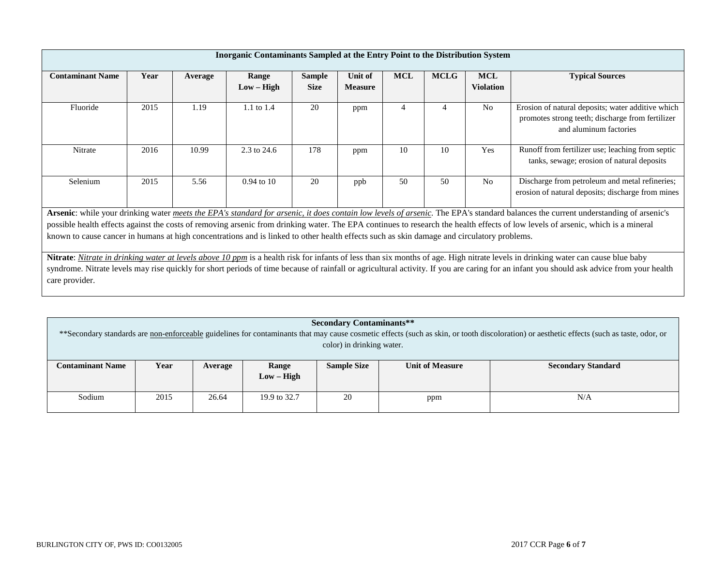|                                                                                                                                                                                                                                                                                                                                | <b>Inorganic Contaminants Sampled at the Entry Point to the Distribution System</b> |         |                       |                              |                           |            |                |                                |                                                                                                                                                                                                                                                                                                                                                                              |
|--------------------------------------------------------------------------------------------------------------------------------------------------------------------------------------------------------------------------------------------------------------------------------------------------------------------------------|-------------------------------------------------------------------------------------|---------|-----------------------|------------------------------|---------------------------|------------|----------------|--------------------------------|------------------------------------------------------------------------------------------------------------------------------------------------------------------------------------------------------------------------------------------------------------------------------------------------------------------------------------------------------------------------------|
| <b>Contaminant Name</b>                                                                                                                                                                                                                                                                                                        | Year                                                                                | Average | Range<br>$Low - High$ | <b>Sample</b><br><b>Size</b> | Unit of<br><b>Measure</b> | <b>MCL</b> | <b>MCLG</b>    | <b>MCL</b><br><b>Violation</b> | <b>Typical Sources</b>                                                                                                                                                                                                                                                                                                                                                       |
| Fluoride                                                                                                                                                                                                                                                                                                                       | 2015                                                                                | 1.19    | 1.1 to 1.4            | 20                           | ppm                       | 4          | $\overline{4}$ | N <sub>o</sub>                 | Erosion of natural deposits; water additive which<br>promotes strong teeth; discharge from fertilizer<br>and aluminum factories                                                                                                                                                                                                                                              |
| Nitrate                                                                                                                                                                                                                                                                                                                        | 2016                                                                                | 10.99   | 2.3 to 24.6           | 178                          | ppm                       | 10         | 10             | Yes                            | Runoff from fertilizer use; leaching from septic<br>tanks, sewage; erosion of natural deposits                                                                                                                                                                                                                                                                               |
| Selenium                                                                                                                                                                                                                                                                                                                       | 2015                                                                                | 5.56    | $0.94$ to 10          | 20                           | ppb                       | 50         | 50             | N <sub>0</sub>                 | Discharge from petroleum and metal refineries;<br>erosion of natural deposits; discharge from mines                                                                                                                                                                                                                                                                          |
|                                                                                                                                                                                                                                                                                                                                |                                                                                     |         |                       |                              |                           |            |                |                                | Arsenic: while your drinking water meets the EPA's standard for arsenic, it does contain low levels of arsenic. The EPA's standard balances the current understanding of arsenic's                                                                                                                                                                                           |
| possible health effects against the costs of removing arsenic from drinking water. The EPA continues to research the health effects of low levels of arsenic, which is a mineral<br>known to cause cancer in humans at high concentrations and is linked to other health effects such as skin damage and circulatory problems. |                                                                                     |         |                       |                              |                           |            |                |                                |                                                                                                                                                                                                                                                                                                                                                                              |
| care provider.                                                                                                                                                                                                                                                                                                                 |                                                                                     |         |                       |                              |                           |            |                |                                | Nitrate: Nitrate in drinking water at levels above 10 ppm is a health risk for infants of less than six months of age. High nitrate levels in drinking water can cause blue baby<br>syndrome. Nitrate levels may rise quickly for short periods of time because of rainfall or agricultural activity. If you are caring for an infant you should ask advice from your health |

|                                                             | <b>Secondary Contaminants**</b>                                                                                                                                                             |         |              |                           |                        |                           |  |  |  |
|-------------------------------------------------------------|---------------------------------------------------------------------------------------------------------------------------------------------------------------------------------------------|---------|--------------|---------------------------|------------------------|---------------------------|--|--|--|
|                                                             | ** Secondary standards are non-enforceable guidelines for contaminants that may cause cosmetic effects (such as skin, or tooth discoloration) or aesthetic effects (such as taste, odor, or |         |              |                           |                        |                           |  |  |  |
|                                                             |                                                                                                                                                                                             |         |              | color) in drinking water. |                        |                           |  |  |  |
|                                                             |                                                                                                                                                                                             |         |              |                           |                        |                           |  |  |  |
| <b>Contaminant Name</b>                                     | Year                                                                                                                                                                                        | Average | Range        | <b>Sample Size</b>        | <b>Unit of Measure</b> | <b>Secondary Standard</b> |  |  |  |
|                                                             |                                                                                                                                                                                             |         | $Low - High$ |                           |                        |                           |  |  |  |
|                                                             |                                                                                                                                                                                             |         |              |                           |                        |                           |  |  |  |
| Sodium<br>2015<br>26.64<br>20<br>N/A<br>19.9 to 32.7<br>ppm |                                                                                                                                                                                             |         |              |                           |                        |                           |  |  |  |
|                                                             |                                                                                                                                                                                             |         |              |                           |                        |                           |  |  |  |